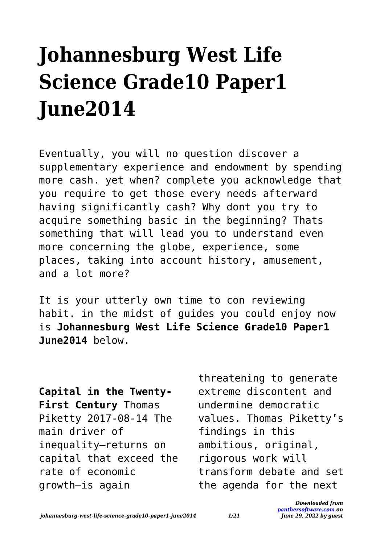## **Johannesburg West Life Science Grade10 Paper1 June2014**

Eventually, you will no question discover a supplementary experience and endowment by spending more cash. yet when? complete you acknowledge that you require to get those every needs afterward having significantly cash? Why dont you try to acquire something basic in the beginning? Thats something that will lead you to understand even more concerning the globe, experience, some places, taking into account history, amusement, and a lot more?

It is your utterly own time to con reviewing habit. in the midst of guides you could enjoy now is **Johannesburg West Life Science Grade10 Paper1 June2014** below.

**Capital in the Twenty-First Century** Thomas Piketty 2017-08-14 The main driver of inequality—returns on capital that exceed the rate of economic growth—is again

threatening to generate extreme discontent and undermine democratic values. Thomas Piketty's findings in this ambitious, original, rigorous work will transform debate and set the agenda for the next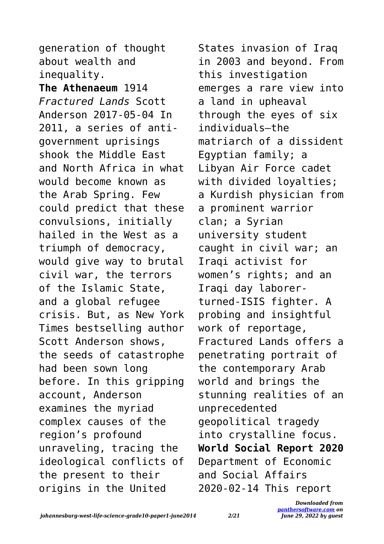generation of thought about wealth and inequality.

**The Athenaeum** 1914 *Fractured Lands* Scott Anderson 2017-05-04 In 2011, a series of antigovernment uprisings shook the Middle East and North Africa in what would become known as the Arab Spring. Few could predict that these convulsions, initially hailed in the West as a triumph of democracy, would give way to brutal civil war, the terrors of the Islamic State, and a global refugee crisis. But, as New York Times bestselling author Scott Anderson shows, the seeds of catastrophe had been sown long before. In this gripping account, Anderson examines the myriad complex causes of the region's profound unraveling, tracing the ideological conflicts of the present to their origins in the United

States invasion of Iraq in 2003 and beyond. From this investigation emerges a rare view into a land in upheaval through the eyes of six individuals—the matriarch of a dissident Egyptian family; a Libyan Air Force cadet with divided loyalties; a Kurdish physician from a prominent warrior clan; a Syrian university student caught in civil war; an Iraqi activist for women's rights; and an Iraqi day laborerturned-ISIS fighter. A probing and insightful work of reportage, Fractured Lands offers a penetrating portrait of the contemporary Arab world and brings the stunning realities of an unprecedented geopolitical tragedy into crystalline focus. **World Social Report 2020** Department of Economic and Social Affairs 2020-02-14 This report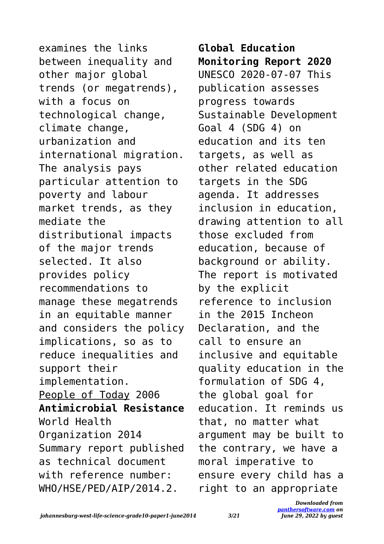examines the links between inequality and other major global trends (or megatrends), with a focus on technological change, climate change, urbanization and international migration. The analysis pays particular attention to poverty and labour market trends, as they mediate the distributional impacts of the major trends selected. It also provides policy recommendations to manage these megatrends in an equitable manner and considers the policy implications, so as to reduce inequalities and support their implementation. People of Today 2006 **Antimicrobial Resistance** World Health Organization 2014 Summary report published as technical document with reference number: WHO/HSE/PED/AIP/2014.2.

**Global Education Monitoring Report 2020** UNESCO 2020-07-07 This publication assesses progress towards Sustainable Development Goal 4 (SDG 4) on education and its ten targets, as well as other related education targets in the SDG agenda. It addresses inclusion in education, drawing attention to all those excluded from education, because of background or ability. The report is motivated by the explicit reference to inclusion in the 2015 Incheon Declaration, and the call to ensure an inclusive and equitable quality education in the formulation of SDG 4, the global goal for education. It reminds us that, no matter what argument may be built to the contrary, we have a moral imperative to ensure every child has a right to an appropriate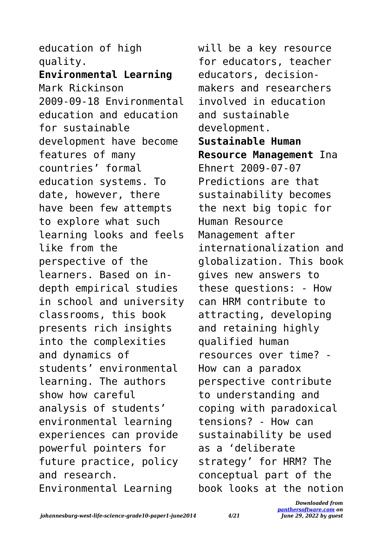education of high quality. **Environmental Learning** Mark Rickinson 2009-09-18 Environmental education and education for sustainable development have become features of many countries' formal education systems. To date, however, there have been few attempts to explore what such learning looks and feels like from the perspective of the learners. Based on indepth empirical studies in school and university classrooms, this book presents rich insights into the complexities and dynamics of students' environmental learning. The authors show how careful analysis of students' environmental learning experiences can provide powerful pointers for future practice, policy and research. Environmental Learning

will be a key resource for educators, teacher educators, decisionmakers and researchers involved in education and sustainable development. **Sustainable Human Resource Management** Ina Ehnert 2009-07-07 Predictions are that sustainability becomes the next big topic for Human Resource Management after internationalization and globalization. This book gives new answers to these questions: - How can HRM contribute to attracting, developing and retaining highly qualified human resources over time? - How can a paradox perspective contribute to understanding and coping with paradoxical tensions? - How can sustainability be used as a 'deliberate strategy' for HRM? The conceptual part of the book looks at the notion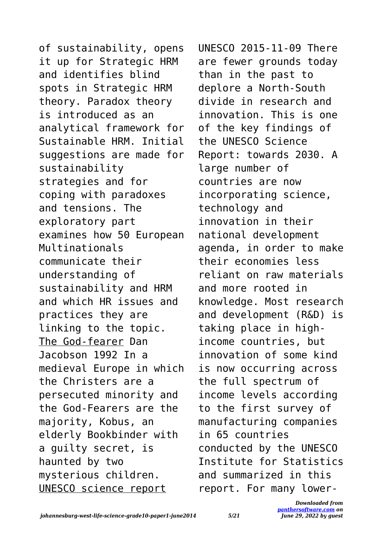of sustainability, opens it up for Strategic HRM and identifies blind spots in Strategic HRM theory. Paradox theory is introduced as an analytical framework for Sustainable HRM. Initial suggestions are made for sustainability strategies and for coping with paradoxes and tensions. The exploratory part examines how 50 European Multinationals communicate their understanding of sustainability and HRM and which HR issues and practices they are linking to the topic. The God-fearer Dan Jacobson 1992 In a medieval Europe in which the Christers are a persecuted minority and the God-Fearers are the majority, Kobus, an elderly Bookbinder with a guilty secret, is haunted by two mysterious children. UNESCO science report

UNESCO 2015-11-09 There are fewer grounds today than in the past to deplore a North‑South divide in research and innovation. This is one of the key findings of the UNESCO Science Report: towards 2030. A large number of countries are now incorporating science, technology and innovation in their national development agenda, in order to make their economies less reliant on raw materials and more rooted in knowledge. Most research and development (R&D) is taking place in highincome countries, but innovation of some kind is now occurring across the full spectrum of income levels according to the first survey of manufacturing companies in 65 countries conducted by the UNESCO Institute for Statistics and summarized in this report. For many lower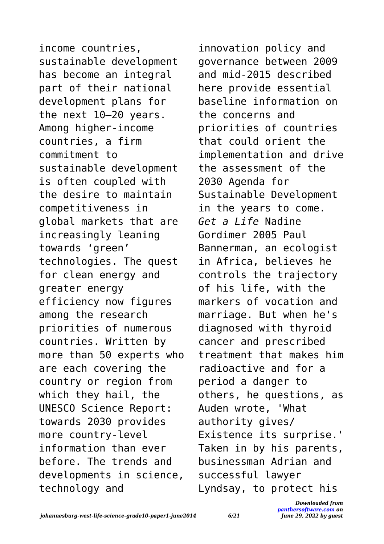income countries, sustainable development has become an integral part of their national development plans for the next 10–20 years. Among higher-income countries, a firm commitment to sustainable development is often coupled with the desire to maintain competitiveness in global markets that are increasingly leaning towards 'green' technologies. The quest for clean energy and greater energy efficiency now figures among the research priorities of numerous countries. Written by more than 50 experts who are each covering the country or region from which they hail, the UNESCO Science Report: towards 2030 provides more country-level information than ever before. The trends and developments in science, technology and

innovation policy and governance between 2009 and mid-2015 described here provide essential baseline information on the concerns and priorities of countries that could orient the implementation and drive the assessment of the 2030 Agenda for Sustainable Development in the years to come. *Get a Life* Nadine Gordimer 2005 Paul Bannerman, an ecologist in Africa, believes he controls the trajectory of his life, with the markers of vocation and marriage. But when he's diagnosed with thyroid cancer and prescribed treatment that makes him radioactive and for a period a danger to others, he questions, as Auden wrote, 'What authority gives/ Existence its surprise.' Taken in by his parents, businessman Adrian and successful lawyer Lyndsay, to protect his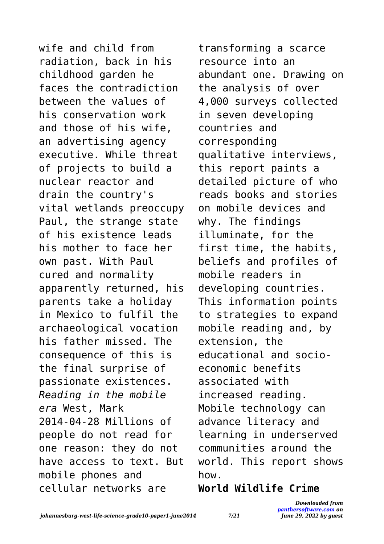wife and child from radiation, back in his childhood garden he faces the contradiction between the values of his conservation work and those of his wife, an advertising agency executive. While threat of projects to build a nuclear reactor and drain the country's vital wetlands preoccupy Paul, the strange state of his existence leads his mother to face her own past. With Paul cured and normality apparently returned, his parents take a holiday in Mexico to fulfil the archaeological vocation his father missed. The consequence of this is the final surprise of passionate existences. *Reading in the mobile era* West, Mark 2014-04-28 Millions of people do not read for one reason: they do not have access to text. But mobile phones and cellular networks are

transforming a scarce resource into an abundant one. Drawing on the analysis of over 4,000 surveys collected in seven developing countries and corresponding qualitative interviews, this report paints a detailed picture of who reads books and stories on mobile devices and why. The findings illuminate, for the first time, the habits, beliefs and profiles of mobile readers in developing countries. This information points to strategies to expand mobile reading and, by extension, the educational and socioeconomic benefits associated with increased reading. Mobile technology can advance literacy and learning in underserved communities around the world. This report shows how.

## **World Wildlife Crime**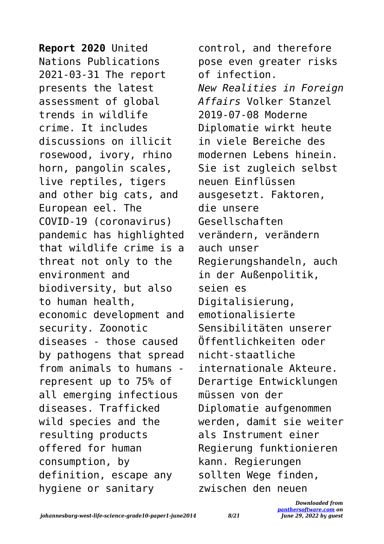**Report 2020** United Nations Publications 2021-03-31 The report presents the latest assessment of global trends in wildlife crime. It includes discussions on illicit rosewood, ivory, rhino horn, pangolin scales, live reptiles, tigers and other big cats, and European eel. The COVID-19 (coronavirus) pandemic has highlighted that wildlife crime is a threat not only to the environment and biodiversity, but also to human health, economic development and security. Zoonotic diseases - those caused by pathogens that spread from animals to humans represent up to 75% of all emerging infectious diseases. Trafficked wild species and the resulting products offered for human consumption, by definition, escape any hygiene or sanitary

control, and therefore pose even greater risks of infection. *New Realities in Foreign Affairs* Volker Stanzel 2019-07-08 Moderne Diplomatie wirkt heute in viele Bereiche des modernen Lebens hinein. Sie ist zugleich selbst neuen Einflüssen ausgesetzt. Faktoren, die unsere Gesellschaften verändern, verändern auch unser Regierungshandeln, auch in der Außenpolitik, seien es Digitalisierung, emotionalisierte Sensibilitäten unserer Öffentlichkeiten oder nicht-staatliche internationale Akteure. Derartige Entwicklungen müssen von der Diplomatie aufgenommen werden, damit sie weiter als Instrument einer Regierung funktionieren kann. Regierungen sollten Wege finden, zwischen den neuen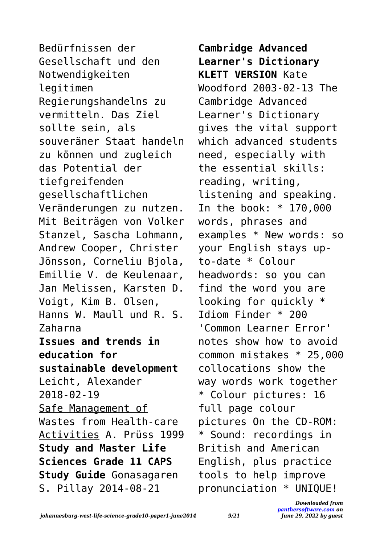Bedürfnissen der Gesellschaft und den Notwendigkeiten legitimen Regierungshandelns zu vermitteln. Das Ziel sollte sein, als souveräner Staat handeln zu können und zugleich das Potential der tiefgreifenden gesellschaftlichen Veränderungen zu nutzen. Mit Beiträgen von Volker Stanzel, Sascha Lohmann, Andrew Cooper, Christer Jönsson, Corneliu Bjola, Emillie V. de Keulenaar, Jan Melissen, Karsten D. Voigt, Kim B. Olsen, Hanns W. Maull und R. S. Zaharna **Issues and trends in education for sustainable development** Leicht, Alexander 2018-02-19 Safe Management of Wastes from Health-care Activities A. Prüss 1999 **Study and Master Life Sciences Grade 11 CAPS Study Guide** Gonasagaren S. Pillay 2014-08-21

**Cambridge Advanced Learner's Dictionary KLETT VERSION** Kate Woodford 2003-02-13 The Cambridge Advanced Learner's Dictionary gives the vital support which advanced students need, especially with the essential skills: reading, writing, listening and speaking. In the book: \* 170,000 words, phrases and examples \* New words: so your English stays upto-date \* Colour headwords: so you can find the word you are looking for quickly \* Idiom Finder \* 200 'Common Learner Error' notes show how to avoid common mistakes \* 25,000 collocations show the way words work together \* Colour pictures: 16 full page colour pictures On the CD-ROM: \* Sound: recordings in British and American English, plus practice tools to help improve pronunciation \* UNIQUE!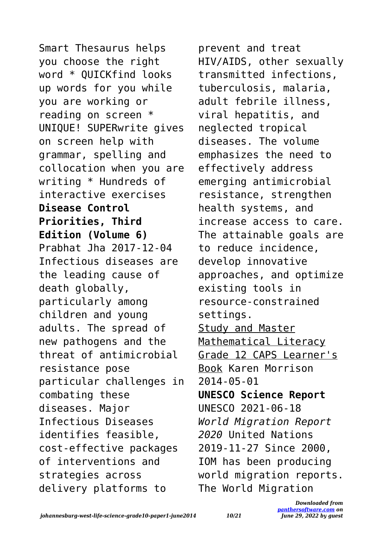Smart Thesaurus helps you choose the right word \* QUICKfind looks up words for you while you are working or reading on screen \* UNIQUE! SUPERwrite gives on screen help with grammar, spelling and collocation when you are writing \* Hundreds of interactive exercises **Disease Control Priorities, Third Edition (Volume 6)** Prabhat Jha 2017-12-04 Infectious diseases are the leading cause of death globally, particularly among children and young adults. The spread of new pathogens and the threat of antimicrobial resistance pose particular challenges in combating these diseases. Major Infectious Diseases identifies feasible, cost-effective packages of interventions and strategies across delivery platforms to

prevent and treat HIV/AIDS, other sexually transmitted infections, tuberculosis, malaria, adult febrile illness, viral hepatitis, and neglected tropical diseases. The volume emphasizes the need to effectively address emerging antimicrobial resistance, strengthen health systems, and increase access to care. The attainable goals are to reduce incidence, develop innovative approaches, and optimize existing tools in resource-constrained settings. Study and Master Mathematical Literacv Grade 12 CAPS Learner's Book Karen Morrison 2014-05-01 **UNESCO Science Report** UNESCO 2021-06-18 *World Migration Report 2020* United Nations 2019-11-27 Since 2000, IOM has been producing world migration reports. The World Migration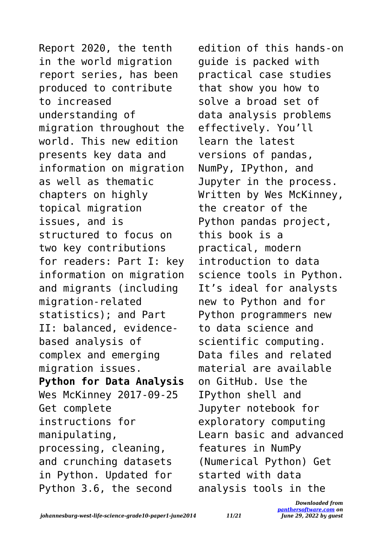Report 2020, the tenth in the world migration report series, has been produced to contribute to increased understanding of migration throughout the world. This new edition presents key data and information on migration as well as thematic chapters on highly topical migration issues, and is structured to focus on two key contributions for readers: Part I: key information on migration and migrants (including migration-related statistics); and Part II: balanced, evidencebased analysis of complex and emerging migration issues. **Python for Data Analysis** Wes McKinney 2017-09-25 Get complete instructions for manipulating, processing, cleaning, and crunching datasets in Python. Updated for Python 3.6, the second

edition of this hands-on guide is packed with practical case studies that show you how to solve a broad set of data analysis problems effectively. You'll learn the latest versions of pandas, NumPy, IPython, and Jupyter in the process. Written by Wes McKinney, the creator of the Python pandas project, this book is a practical, modern introduction to data science tools in Python. It's ideal for analysts new to Python and for Python programmers new to data science and scientific computing. Data files and related material are available on GitHub. Use the IPython shell and Jupyter notebook for exploratory computing Learn basic and advanced features in NumPy (Numerical Python) Get started with data analysis tools in the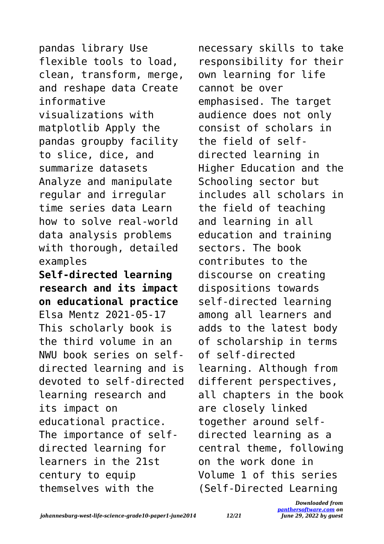pandas library Use flexible tools to load, clean, transform, merge, and reshape data Create informative visualizations with matplotlib Apply the pandas groupby facility to slice, dice, and summarize datasets Analyze and manipulate regular and irregular time series data Learn how to solve real-world data analysis problems with thorough, detailed examples **Self-directed learning research and its impact on educational practice** Elsa Mentz 2021-05-17 This scholarly book is the third volume in an NWU book series on selfdirected learning and is devoted to self-directed learning research and its impact on educational practice. The importance of selfdirected learning for learners in the 21st century to equip themselves with the

necessary skills to take responsibility for their own learning for life cannot be over emphasised. The target audience does not only consist of scholars in the field of selfdirected learning in Higher Education and the Schooling sector but includes all scholars in the field of teaching and learning in all education and training sectors. The book contributes to the discourse on creating dispositions towards self-directed learning among all learners and adds to the latest body of scholarship in terms of self-directed learning. Although from different perspectives, all chapters in the book are closely linked together around selfdirected learning as a central theme, following on the work done in Volume 1 of this series (Self-Directed Learning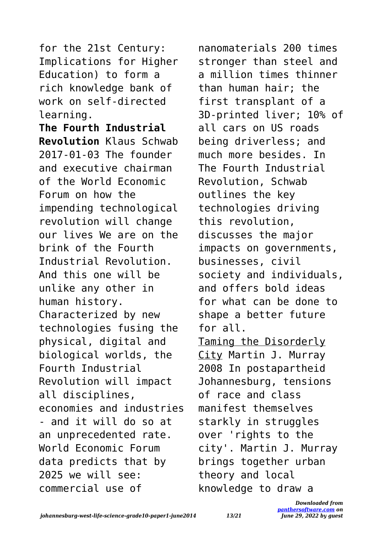for the 21st Century: Implications for Higher Education) to form a rich knowledge bank of work on self-directed learning.

**The Fourth Industrial Revolution** Klaus Schwab 2017-01-03 The founder and executive chairman of the World Economic Forum on how the impending technological revolution will change our lives We are on the brink of the Fourth Industrial Revolution. And this one will be unlike any other in human history. Characterized by new technologies fusing the physical, digital and biological worlds, the Fourth Industrial Revolution will impact all disciplines, economies and industries - and it will do so at an unprecedented rate. World Economic Forum data predicts that by 2025 we will see: commercial use of

nanomaterials 200 times stronger than steel and a million times thinner than human hair; the first transplant of a 3D-printed liver; 10% of all cars on US roads being driverless; and much more besides. In The Fourth Industrial Revolution, Schwab outlines the key technologies driving this revolution, discusses the major impacts on governments, businesses, civil society and individuals, and offers bold ideas for what can be done to shape a better future for all. Taming the Disorderly City Martin J. Murray 2008 In postapartheid Johannesburg, tensions of race and class manifest themselves starkly in struggles over 'rights to the city'. Martin J. Murray brings together urban theory and local knowledge to draw a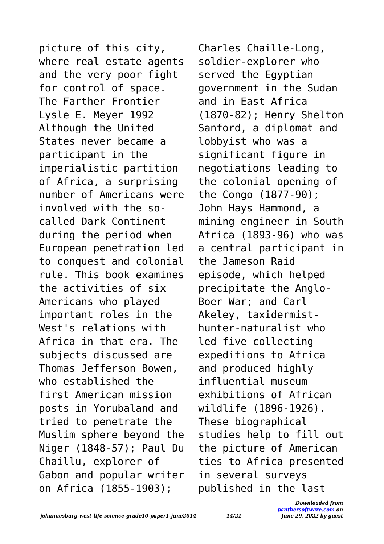picture of this city, where real estate agents and the very poor fight for control of space. The Farther Frontier Lysle E. Meyer 1992 Although the United States never became a participant in the imperialistic partition of Africa, a surprising number of Americans were involved with the socalled Dark Continent during the period when European penetration led to conquest and colonial rule. This book examines the activities of six Americans who played important roles in the West's relations with Africa in that era. The subjects discussed are Thomas Jefferson Bowen, who established the first American mission posts in Yorubaland and tried to penetrate the Muslim sphere beyond the Niger (1848-57); Paul Du Chaillu, explorer of Gabon and popular writer on Africa (1855-1903);

Charles Chaille-Long, soldier-explorer who served the Egyptian government in the Sudan and in East Africa (1870-82); Henry Shelton Sanford, a diplomat and lobbyist who was a significant figure in negotiations leading to the colonial opening of the Congo (1877-90); John Hays Hammond, a mining engineer in South Africa (1893-96) who was a central participant in the Jameson Raid episode, which helped precipitate the Anglo-Boer War; and Carl Akeley, taxidermisthunter-naturalist who led five collecting expeditions to Africa and produced highly influential museum exhibitions of African wildlife (1896-1926). These biographical studies help to fill out the picture of American ties to Africa presented in several surveys published in the last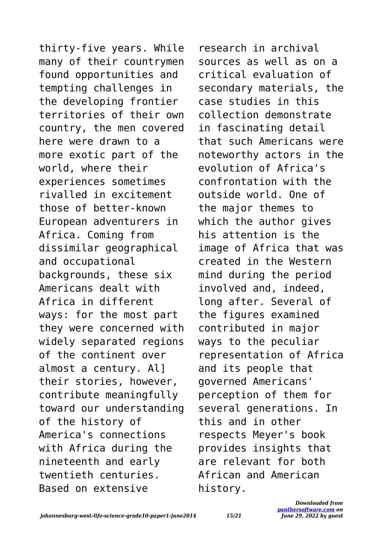thirty-five years. While many of their countrymen found opportunities and tempting challenges in the developing frontier territories of their own country, the men covered here were drawn to a more exotic part of the world, where their experiences sometimes rivalled in excitement those of better-known European adventurers in Africa. Coming from dissimilar geographical and occupational backgrounds, these six Americans dealt with Africa in different ways: for the most part they were concerned with widely separated regions of the continent over almost a century. Al] their stories, however, contribute meaningfully toward our understanding of the history of America's connections with Africa during the nineteenth and early twentieth centuries. Based on extensive

research in archival sources as well as on a critical evaluation of secondary materials, the case studies in this collection demonstrate in fascinating detail that such Americans were noteworthy actors in the evolution of Africa's confrontation with the outside world. One of the major themes to which the author gives his attention is the image of Africa that was created in the Western mind during the period involved and, indeed, long after. Several of the figures examined contributed in major ways to the peculiar representation of Africa and its people that governed Americans' perception of them for several generations. In this and in other respects Meyer's book provides insights that are relevant for both African and American history.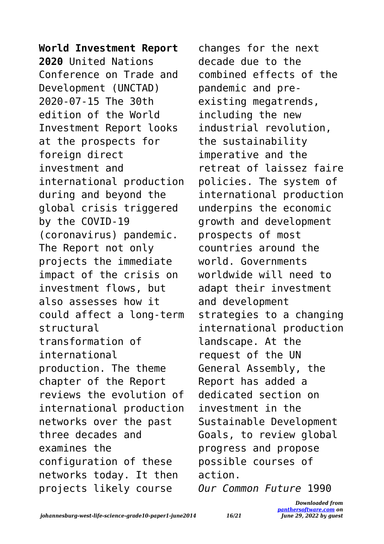**World Investment Report 2020** United Nations Conference on Trade and Development (UNCTAD) 2020-07-15 The 30th edition of the World Investment Report looks at the prospects for foreign direct investment and international production during and beyond the global crisis triggered by the COVID-19 (coronavirus) pandemic. The Report not only projects the immediate impact of the crisis on investment flows, but also assesses how it could affect a long-term structural transformation of international production. The theme chapter of the Report reviews the evolution of international production networks over the past three decades and examines the configuration of these networks today. It then projects likely course

changes for the next decade due to the combined effects of the pandemic and preexisting megatrends, including the new industrial revolution, the sustainability imperative and the retreat of laissez faire policies. The system of international production underpins the economic growth and development prospects of most countries around the world. Governments worldwide will need to adapt their investment and development strategies to a changing international production landscape. At the request of the UN General Assembly, the Report has added a dedicated section on investment in the Sustainable Development Goals, to review global progress and propose possible courses of action.

*Our Common Future* 1990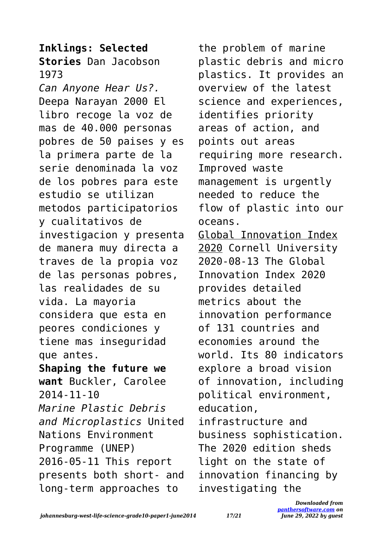## **Inklings: Selected Stories** Dan Jacobson 1973

*Can Anyone Hear Us?.* Deepa Narayan 2000 El libro recoge la voz de mas de 40.000 personas pobres de 50 paises y es la primera parte de la serie denominada la voz de los pobres para este estudio se utilizan metodos participatorios y cualitativos de investigacion y presenta de manera muy directa a traves de la propia voz de las personas pobres, las realidades de su vida. La mayoria considera que esta en peores condiciones y tiene mas inseguridad que antes. **Shaping the future we want** Buckler, Carolee 2014-11-10 *Marine Plastic Debris and Microplastics* United Nations Environment Programme (UNEP) 2016-05-11 This report presents both short- and long-term approaches to

the problem of marine plastic debris and micro plastics. It provides an overview of the latest science and experiences, identifies priority areas of action, and points out areas requiring more research. Improved waste management is urgently needed to reduce the flow of plastic into our oceans. Global Innovation Index 2020 Cornell University 2020-08-13 The Global Innovation Index 2020 provides detailed metrics about the innovation performance of 131 countries and economies around the world. Its 80 indicators explore a broad vision of innovation, including political environment, education, infrastructure and business sophistication. The 2020 edition sheds light on the state of innovation financing by investigating the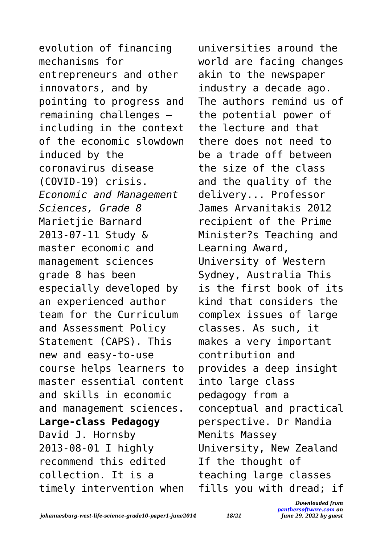evolution of financing mechanisms for entrepreneurs and other innovators, and by pointing to progress and remaining challenges – including in the context of the economic slowdown induced by the coronavirus disease (COVID-19) crisis. *Economic and Management Sciences, Grade 8* Marietjie Barnard 2013-07-11 Study & master economic and management sciences grade 8 has been especially developed by an experienced author team for the Curriculum and Assessment Policy Statement (CAPS). This new and easy-to-use course helps learners to master essential content and skills in economic and management sciences. **Large-class Pedagogy** David J. Hornsby 2013-08-01 I highly recommend this edited collection. It is a timely intervention when universities around the world are facing changes akin to the newspaper industry a decade ago. The authors remind us of the potential power of the lecture and that there does not need to be a trade off between the size of the class and the quality of the delivery... Professor James Arvanitakis 2012 recipient of the Prime Minister?s Teaching and Learning Award, University of Western Sydney, Australia This is the first book of its kind that considers the complex issues of large classes. As such, it makes a very important contribution and provides a deep insight into large class pedagogy from a conceptual and practical perspective. Dr Mandia Menits Massey University, New Zealand If the thought of teaching large classes fills you with dread; if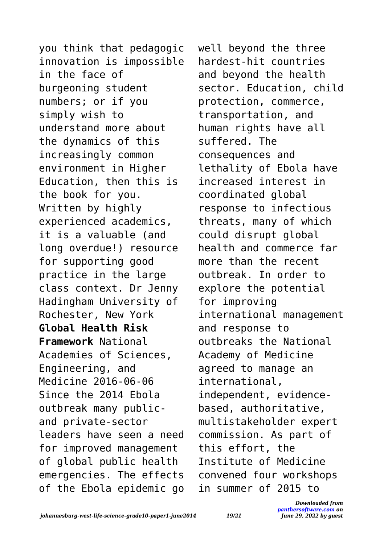you think that pedagogic innovation is impossible in the face of burgeoning student numbers; or if you simply wish to understand more about the dynamics of this increasingly common environment in Higher Education, then this is the book for you. Written by highly experienced academics, it is a valuable (and long overdue!) resource for supporting good practice in the large class context. Dr Jenny Hadingham University of Rochester, New York **Global Health Risk Framework** National Academies of Sciences, Engineering, and Medicine 2016-06-06 Since the 2014 Ebola outbreak many publicand private-sector leaders have seen a need for improved management of global public health emergencies. The effects of the Ebola epidemic go well beyond the three hardest-hit countries and beyond the health sector. Education, child protection, commerce, transportation, and human rights have all suffered. The consequences and lethality of Ebola have increased interest in coordinated global response to infectious threats, many of which could disrupt global health and commerce far more than the recent outbreak. In order to explore the potential for improving international management and response to outbreaks the National Academy of Medicine agreed to manage an international, independent, evidencebased, authoritative, multistakeholder expert commission. As part of this effort, the Institute of Medicine convened four workshops in summer of 2015 to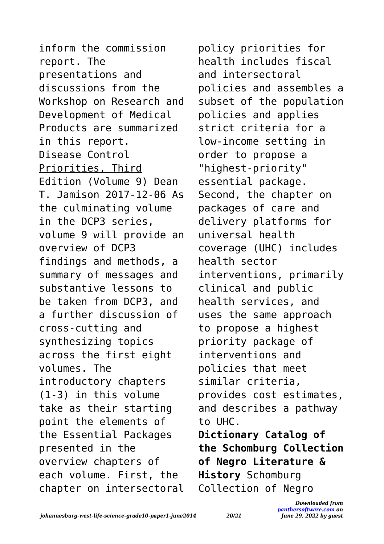inform the commission report. The presentations and discussions from the Workshop on Research and Development of Medical Products are summarized in this report. Disease Control Priorities, Third Edition (Volume 9) Dean T. Jamison 2017-12-06 As the culminating volume in the DCP3 series, volume 9 will provide an overview of DCP3 findings and methods, a summary of messages and substantive lessons to be taken from DCP3, and a further discussion of cross-cutting and synthesizing topics across the first eight volumes. The introductory chapters (1-3) in this volume take as their starting point the elements of the Essential Packages presented in the overview chapters of each volume. First, the chapter on intersectoral policy priorities for health includes fiscal and intersectoral policies and assembles a subset of the population policies and applies strict criteria for a low-income setting in order to propose a "highest-priority" essential package. Second, the chapter on packages of care and delivery platforms for universal health coverage (UHC) includes health sector interventions, primarily clinical and public health services, and uses the same approach to propose a highest priority package of interventions and policies that meet similar criteria, provides cost estimates, and describes a pathway to UHC. **Dictionary Catalog of the Schomburg Collection**

**of Negro Literature & History** Schomburg Collection of Negro